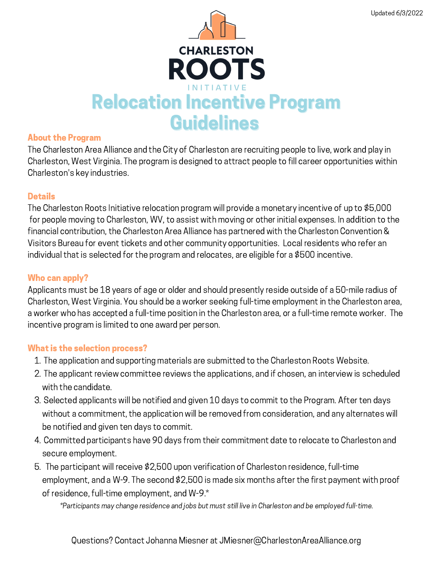

#### About the Program

The Charleston Area Alliance and the City of Charleston are recruiting people to live, work and play in Charleston, West Virginia. The program is designed to attract people to fill career opportunities within Charleston's key industries.

### **Details**

The Charleston Roots Initiative relocation program will provide a monetary incentive of up to \$5,000 for people moving to Charleston, WV, to assist with moving or other initial expenses. In addition to the financial contribution, the Charleston Area Alliance has partnered with the Charleston Convention & Visitors Bureau for event tickets and other community opportunities. Local residents who refer an individual that is selected for the program and relocates, are eligible for a \$500 incentive.

## Who can apply?

Applicants must be 18 years of age or older and should presently reside outside of a 50-mile radius of Charleston, West Virginia. You should be a worker seeking full-time employment in the Charleston area, a worker who has accepted a full-time position in the Charleston area, or a full-time remote worker. The incentive program is limited to one award per person.

### What is the selection process?

- 1. The application and supporting materials are submitted to the Charleston Roots Website.
- 2. The applicant review committee reviews the applications, and if chosen, an interview is scheduled with the candidate.
- Selected applicants will be notified and given 10 days to commit to the Program. After ten days 3. without a commitment, the application will be removed from consideration, and any alternates will be notified and given ten days to commit.
- Committed participants have 90 days from their commitment date to relocate to Charleston and 4. secure employment.
- 5. The participant will receive \$2,500 upon verification of Charleston residence, full-time employment, and a W-9. The second \$2,500 is made six months after the first payment with proof of residence, full-time employment, and W-9.\*

\*Participants may change residence and jobs but must still live in Charleston and be employed full-time.